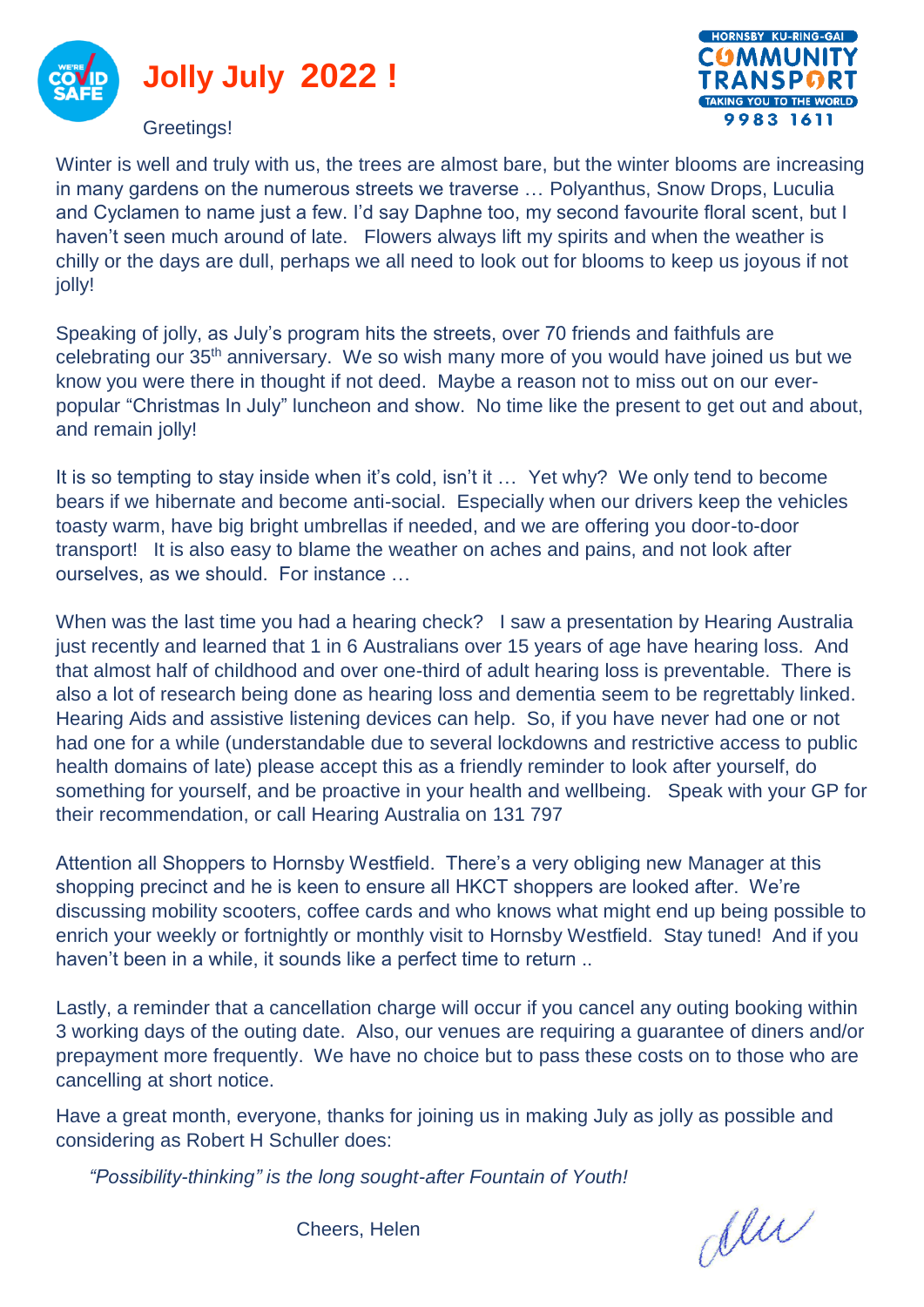



Winter is well and truly with us, the trees are almost bare, but the winter blooms are increasing in many gardens on the numerous streets we traverse … Polyanthus, Snow Drops, Luculia and Cyclamen to name just a few. I'd say Daphne too, my second favourite floral scent, but I haven't seen much around of late. Flowers always lift my spirits and when the weather is chilly or the days are dull, perhaps we all need to look out for blooms to keep us joyous if not jolly!

Speaking of jolly, as July's program hits the streets, over 70 friends and faithfuls are celebrating our 35th anniversary. We so wish many more of you would have joined us but we know you were there in thought if not deed. Maybe a reason not to miss out on our everpopular "Christmas In July" luncheon and show. No time like the present to get out and about, and remain jolly!

It is so tempting to stay inside when it's cold, isn't it … Yet why? We only tend to become bears if we hibernate and become anti-social. Especially when our drivers keep the vehicles toasty warm, have big bright umbrellas if needed, and we are offering you door-to-door transport! It is also easy to blame the weather on aches and pains, and not look after ourselves, as we should. For instance …

When was the last time you had a hearing check? I saw a presentation by Hearing Australia just recently and learned that 1 in 6 Australians over 15 years of age have hearing loss. And that almost half of childhood and over one-third of adult hearing loss is preventable. There is also a lot of research being done as hearing loss and dementia seem to be regrettably linked. Hearing Aids and assistive listening devices can help. So, if you have never had one or not had one for a while (understandable due to several lockdowns and restrictive access to public health domains of late) please accept this as a friendly reminder to look after yourself, do something for yourself, and be proactive in your health and wellbeing. Speak with your GP for their recommendation, or call Hearing Australia on 131 797

Attention all Shoppers to Hornsby Westfield. There's a very obliging new Manager at this shopping precinct and he is keen to ensure all HKCT shoppers are looked after. We're discussing mobility scooters, coffee cards and who knows what might end up being possible to enrich your weekly or fortnightly or monthly visit to Hornsby Westfield. Stay tuned! And if you haven't been in a while, it sounds like a perfect time to return ..

Lastly, a reminder that a cancellation charge will occur if you cancel any outing booking within 3 working days of the outing date. Also, our venues are requiring a guarantee of diners and/or prepayment more frequently. We have no choice but to pass these costs on to those who are cancelling at short notice.

Have a great month, everyone, thanks for joining us in making July as jolly as possible and considering as Robert H Schuller does:

*"Possibility-thinking" is the long sought-after Fountain of Youth!*

den

Cheers, Helen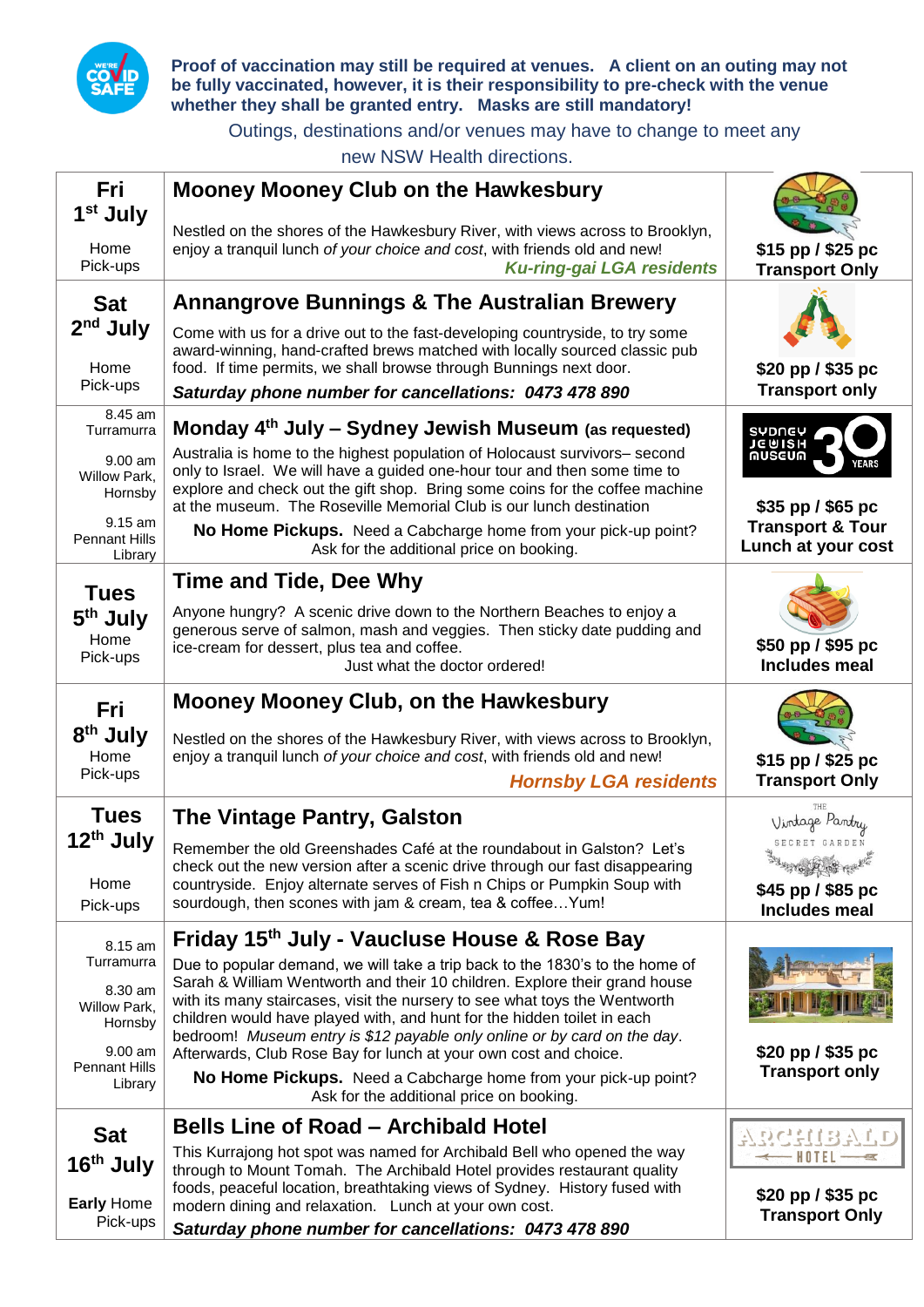

**Proof of vaccination may still be required at venues. A client on an outing may not be fully vaccinated, however, it is their responsibility to pre-check with the venue whether they shall be granted entry. Masks are still mandatory!**

Outings, destinations and/or venues may have to change to meet any

new NSW Health directions.

| Fri<br>1 <sup>st</sup> July<br>Home        | <b>Mooney Mooney Club on the Hawkesbury</b><br>Nestled on the shores of the Hawkesbury River, with views across to Brooklyn,<br>enjoy a tranquil lunch of your choice and cost, with friends old and new!                                                                                                       | \$15 pp / \$25 pc                                                         |  |
|--------------------------------------------|-----------------------------------------------------------------------------------------------------------------------------------------------------------------------------------------------------------------------------------------------------------------------------------------------------------------|---------------------------------------------------------------------------|--|
| Pick-ups<br><b>Sat</b>                     | <b>Ku-ring-gai LGA residents</b><br><b>Annangrove Bunnings &amp; The Australian Brewery</b>                                                                                                                                                                                                                     | <b>Transport Only</b>                                                     |  |
| $2nd$ July<br>Home                         | Come with us for a drive out to the fast-developing countryside, to try some<br>award-winning, hand-crafted brews matched with locally sourced classic pub<br>food. If time permits, we shall browse through Bunnings next door.                                                                                | \$20 pp / \$35 pc                                                         |  |
| Pick-ups                                   | Saturday phone number for cancellations: 0473 478 890                                                                                                                                                                                                                                                           | <b>Transport only</b>                                                     |  |
| 8.45 am<br>Turramurra<br>$9.00$ am         | Monday 4 <sup>th</sup> July - Sydney Jewish Museum (as requested)<br>SYDNEY<br>JEWISH<br>MUSEUM<br>Australia is home to the highest population of Holocaust survivors- second<br>YEARS                                                                                                                          |                                                                           |  |
| Willow Park,<br>Hornsby<br>9.15 am         | only to Israel. We will have a guided one-hour tour and then some time to<br>explore and check out the gift shop. Bring some coins for the coffee machine<br>at the museum. The Roseville Memorial Club is our lunch destination                                                                                | \$35 pp / \$65 pc<br><b>Transport &amp; Tour</b>                          |  |
| <b>Pennant Hills</b><br>Library            | No Home Pickups. Need a Cabcharge home from your pick-up point?<br>Ask for the additional price on booking.                                                                                                                                                                                                     | Lunch at your cost                                                        |  |
| <b>Tues</b>                                | Time and Tide, Dee Why                                                                                                                                                                                                                                                                                          |                                                                           |  |
| 5 <sup>th</sup> July<br>Home<br>Pick-ups   | Anyone hungry? A scenic drive down to the Northern Beaches to enjoy a<br>generous serve of salmon, mash and veggies. Then sticky date pudding and<br>ice-cream for dessert, plus tea and coffee.<br>Just what the doctor ordered!                                                                               | \$50 pp / \$95 pc<br>Includes meal                                        |  |
| <b>Fri</b>                                 | <b>Mooney Mooney Club, on the Hawkesbury</b>                                                                                                                                                                                                                                                                    |                                                                           |  |
| 8 <sup>th</sup> July<br>Home<br>Pick-ups   | Nestled on the shores of the Hawkesbury River, with views across to Brooklyn,<br>enjoy a tranquil lunch of your choice and cost, with friends old and new!<br><b>Hornsby LGA residents</b>                                                                                                                      | \$15 pp / \$25 pc<br><b>Transport Only</b>                                |  |
| <b>Tues</b>                                | <b>The Vintage Pantry, Galston</b>                                                                                                                                                                                                                                                                              | Vintage Pantry                                                            |  |
| 12 <sup>th</sup> July<br>Home<br>Pick-ups  | Remember the old Greenshades Café at the roundabout in Galston? Let's<br>check out the new version after a scenic drive through our fast disappearing<br>countryside. Enjoy alternate serves of Fish n Chips or Pumpkin Soup with<br>sourdough, then scones with jam & cream, tea & coffee Yum!                 | SECRET GARDEN<br>SURFERE REE<br>\$45 pp / \$85 pc<br><b>Includes meal</b> |  |
| 8.15 am                                    | Friday 15th July - Vaucluse House & Rose Bay                                                                                                                                                                                                                                                                    |                                                                           |  |
| Turramurra                                 | Due to popular demand, we will take a trip back to the 1830's to the home of                                                                                                                                                                                                                                    |                                                                           |  |
| 8.30 am<br>Willow Park,<br>Hornsby         | Sarah & William Wentworth and their 10 children. Explore their grand house<br>with its many staircases, visit the nursery to see what toys the Wentworth<br>children would have played with, and hunt for the hidden toilet in each<br>bedroom! Museum entry is \$12 payable only online or by card on the day. |                                                                           |  |
| 9.00 am<br><b>Pennant Hills</b><br>Library | Afterwards, Club Rose Bay for lunch at your own cost and choice.<br>No Home Pickups. Need a Cabcharge home from your pick-up point?<br>Ask for the additional price on booking.                                                                                                                                 | \$20 pp / \$35 pc<br><b>Transport only</b>                                |  |
| <b>Sat</b>                                 | <b>Bells Line of Road – Archibald Hotel</b>                                                                                                                                                                                                                                                                     |                                                                           |  |
| 16 <sup>th</sup> July                      | This Kurrajong hot spot was named for Archibald Bell who opened the way<br>through to Mount Tomah. The Archibald Hotel provides restaurant quality                                                                                                                                                              |                                                                           |  |
| <b>Early Home</b><br>Pick-ups              | foods, peaceful location, breathtaking views of Sydney. History fused with<br>modern dining and relaxation. Lunch at your own cost.<br>Saturday phone number for cancellations: 0473 478 890                                                                                                                    | $$20$ pp $/$ \$35 pc<br><b>Transport Only</b>                             |  |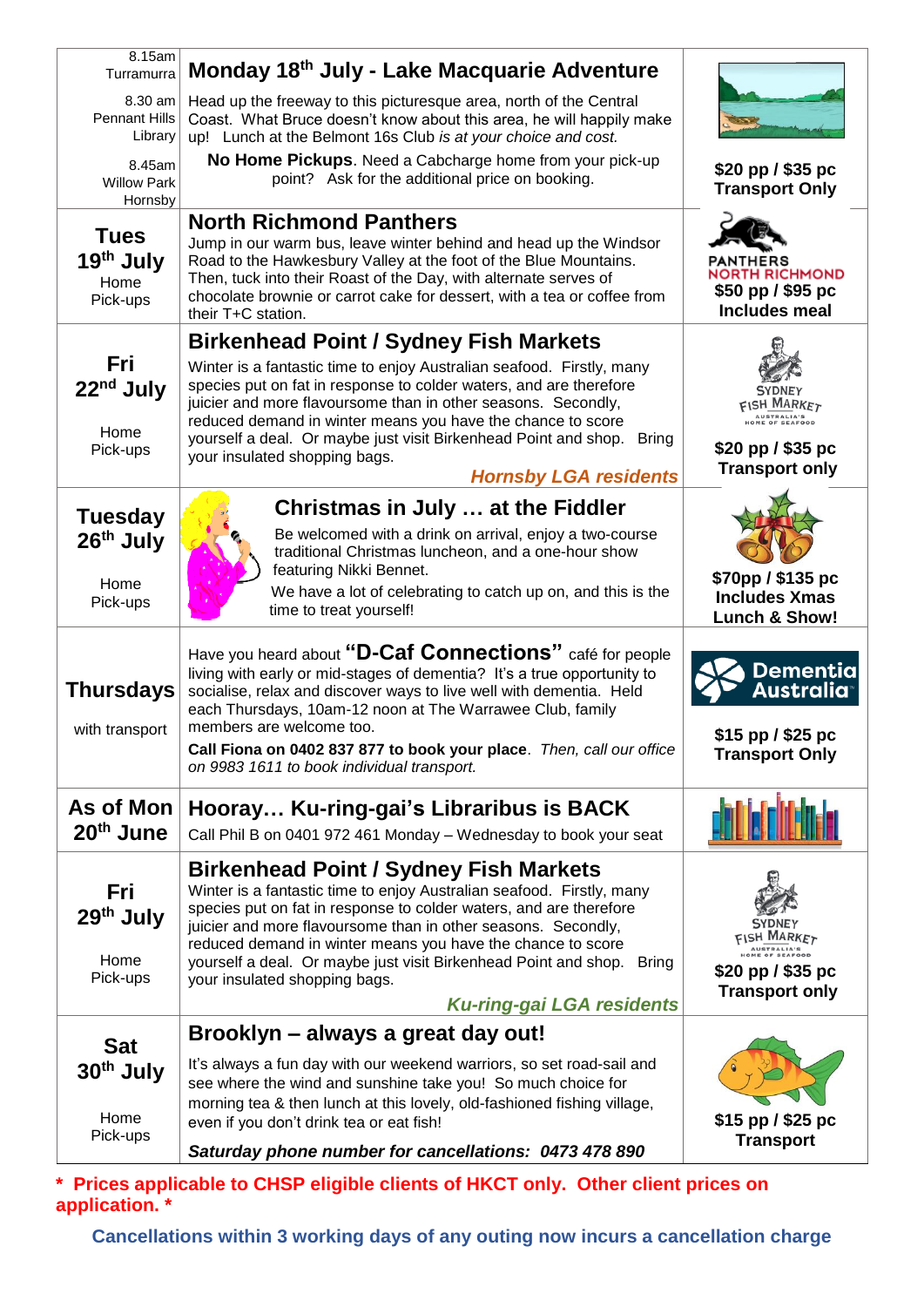| 8.15am<br>Turramurra                                     | Monday 18th July - Lake Macquarie Adventure                                                                                                                                                                                                                                                                                                                                                                                                                                |                                                                                                            |
|----------------------------------------------------------|----------------------------------------------------------------------------------------------------------------------------------------------------------------------------------------------------------------------------------------------------------------------------------------------------------------------------------------------------------------------------------------------------------------------------------------------------------------------------|------------------------------------------------------------------------------------------------------------|
| 8.30 am<br><b>Pennant Hills</b><br>Library               | Head up the freeway to this picturesque area, north of the Central<br>Coast. What Bruce doesn't know about this area, he will happily make<br>up! Lunch at the Belmont 16s Club is at your choice and cost.                                                                                                                                                                                                                                                                |                                                                                                            |
| 8.45am<br><b>Willow Park</b><br>Hornsby                  | No Home Pickups. Need a Cabcharge home from your pick-up<br>point? Ask for the additional price on booking.                                                                                                                                                                                                                                                                                                                                                                | \$20 pp / \$35 pc<br><b>Transport Only</b>                                                                 |
| <b>Tues</b><br>19 <sup>th</sup> July<br>Home<br>Pick-ups | <b>North Richmond Panthers</b><br>Jump in our warm bus, leave winter behind and head up the Windsor<br>Road to the Hawkesbury Valley at the foot of the Blue Mountains.<br>Then, tuck into their Roast of the Day, with alternate serves of<br>chocolate brownie or carrot cake for dessert, with a tea or coffee from<br>their T+C station.                                                                                                                               | PANTHERS<br><b>NORTH RICHMOND</b><br>$$50$ pp $/$ \$95 pc<br><b>Includes meal</b>                          |
|                                                          | <b>Birkenhead Point / Sydney Fish Markets</b>                                                                                                                                                                                                                                                                                                                                                                                                                              |                                                                                                            |
| <b>Fri</b><br>22 <sup>nd</sup> July<br>Home              | Winter is a fantastic time to enjoy Australian seafood. Firstly, many<br>species put on fat in response to colder waters, and are therefore<br>juicier and more flavoursome than in other seasons. Secondly,<br>reduced demand in winter means you have the chance to score<br>yourself a deal. Or maybe just visit Birkenhead Point and shop.<br><b>Bring</b>                                                                                                             | <b>SYDNEY</b><br><b>FISH MARKET</b><br>AUSTRALIA'S<br>ME OF SEAFOOD                                        |
| Pick-ups                                                 | your insulated shopping bags.<br><b>Hornsby LGA residents</b>                                                                                                                                                                                                                                                                                                                                                                                                              | \$20 pp / \$35 pc<br><b>Transport only</b>                                                                 |
| <b>Tuesday</b>                                           | Christmas in July  at the Fiddler                                                                                                                                                                                                                                                                                                                                                                                                                                          |                                                                                                            |
| 26 <sup>th</sup> July                                    | Be welcomed with a drink on arrival, enjoy a two-course<br>traditional Christmas luncheon, and a one-hour show<br>featuring Nikki Bennet.                                                                                                                                                                                                                                                                                                                                  |                                                                                                            |
| Home<br>Pick-ups                                         | We have a lot of celebrating to catch up on, and this is the<br>time to treat yourself!                                                                                                                                                                                                                                                                                                                                                                                    | \$70pp / \$135 pc<br><b>Includes Xmas</b><br><b>Lunch &amp; Show!</b>                                      |
| <b>Thursdays</b><br>with transport                       | Have you heard about "D-Caf Connections" café for people<br>living with early or mid-stages of dementia? It's a true opportunity to<br>socialise, relax and discover ways to live well with dementia. Held<br>each Thursdays, 10am-12 noon at The Warrawee Club, family<br>members are welcome too.<br>Call Fiona on 0402 837 877 to book your place. Then, call our office<br>on 9983 1611 to book individual transport.                                                  | Dementia<br>Australia<br>\$15 pp / \$25 pc<br><b>Transport Only</b>                                        |
| As of Mon<br>20 <sup>th</sup> June                       | Hooray Ku-ring-gai's Libraribus is BACK<br>Call Phil B on 0401 972 461 Monday - Wednesday to book your seat                                                                                                                                                                                                                                                                                                                                                                |                                                                                                            |
| Fri<br>29 <sup>th</sup> July<br>Home<br>Pick-ups         | <b>Birkenhead Point / Sydney Fish Markets</b><br>Winter is a fantastic time to enjoy Australian seafood. Firstly, many<br>species put on fat in response to colder waters, and are therefore<br>juicier and more flavoursome than in other seasons. Secondly,<br>reduced demand in winter means you have the chance to score<br>yourself a deal. Or maybe just visit Birkenhead Point and shop. Bring<br>your insulated shopping bags.<br><b>Ku-ring-gai LGA residents</b> | <b>SYDNEY</b><br>FISH MARKET<br>AUSTRALIA'S<br>ME OF SEAFOOD<br>\$20 pp / \$35 pc<br><b>Transport only</b> |
|                                                          | Brooklyn - always a great day out!                                                                                                                                                                                                                                                                                                                                                                                                                                         |                                                                                                            |
| <b>Sat</b><br>30 <sup>th</sup> July<br>Home              | It's always a fun day with our weekend warriors, so set road-sail and<br>see where the wind and sunshine take you! So much choice for<br>morning tea & then lunch at this lovely, old-fashioned fishing village,                                                                                                                                                                                                                                                           |                                                                                                            |
| Pick-ups                                                 | even if you don't drink tea or eat fish!                                                                                                                                                                                                                                                                                                                                                                                                                                   | \$15 pp / \$25 pc<br><b>Transport</b>                                                                      |
|                                                          | Saturday phone number for cancellations: 0473 478 890                                                                                                                                                                                                                                                                                                                                                                                                                      |                                                                                                            |

**\* Prices applicable to CHSP eligible clients of HKCT only. Other client prices on application. \***

**Cancellations within 3 working days of any outing now incurs a cancellation charge**